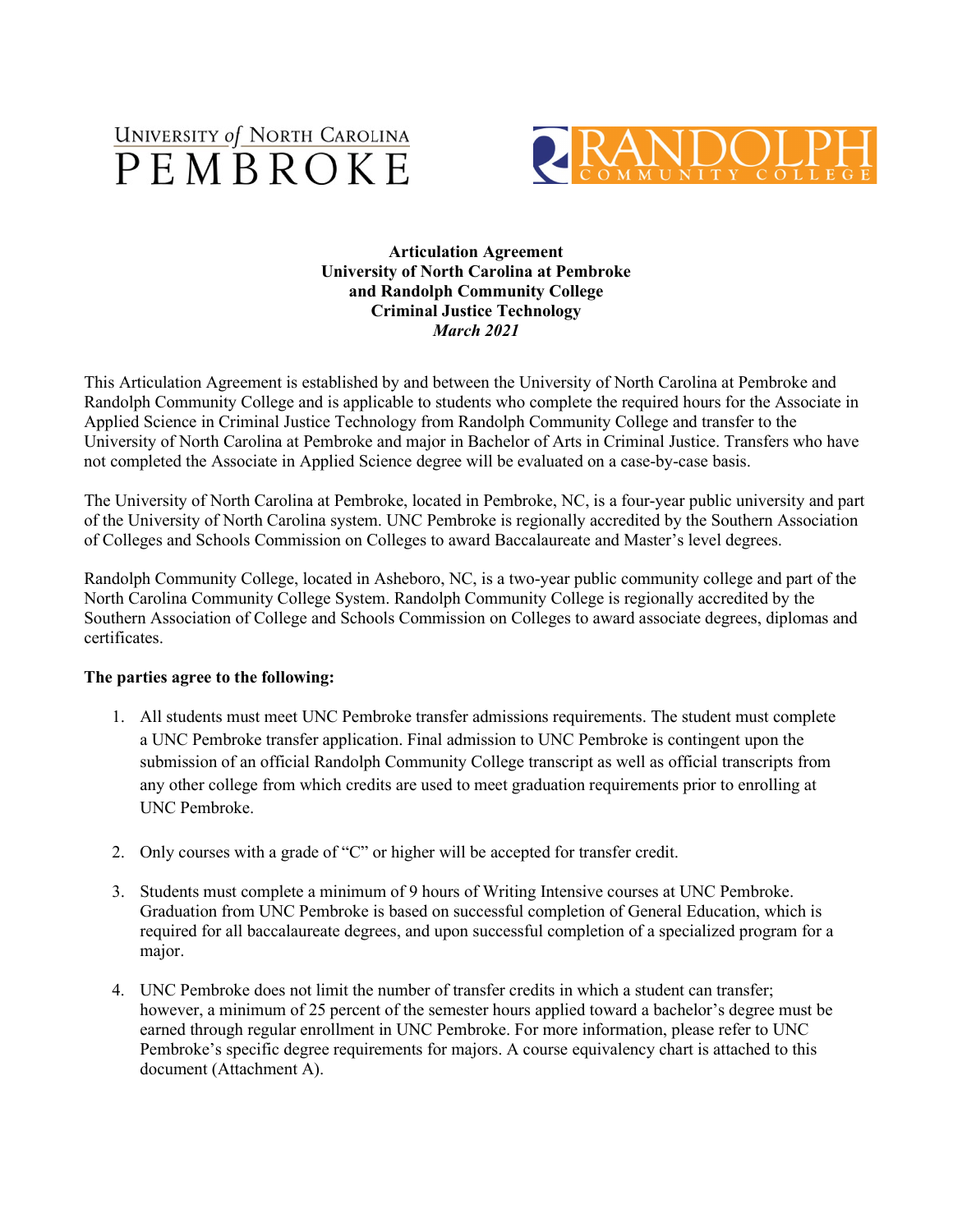



## **Articulation Agreement University of North Carolina at Pembroke and Randolph Community College Criminal Justice Technology** *March 2021*

This Articulation Agreement is established by and between the University of North Carolina at Pembroke and Randolph Community College and is applicable to students who complete the required hours for the Associate in Applied Science in Criminal Justice Technology from Randolph Community College and transfer to the University of North Carolina at Pembroke and major in Bachelor of Arts in Criminal Justice. Transfers who have not completed the Associate in Applied Science degree will be evaluated on a case-by-case basis.

The University of North Carolina at Pembroke, located in Pembroke, NC, is a four-year public university and part of the University of North Carolina system. UNC Pembroke is regionally accredited by the Southern Association of Colleges and Schools Commission on Colleges to award Baccalaureate and Master's level degrees.

Randolph Community College, located in Asheboro, NC, is a two-year public community college and part of the North Carolina Community College System. Randolph Community College is regionally accredited by the Southern Association of College and Schools Commission on Colleges to award associate degrees, diplomas and certificates.

## **The parties agree to the following:**

- 1. All students must meet UNC Pembroke transfer admissions requirements. The student must complete a UNC Pembroke transfer application. Final admission to UNC Pembroke is contingent upon the submission of an official Randolph Community College transcript as well as official transcripts from any other college from which credits are used to meet graduation requirements prior to enrolling at UNC Pembroke.
- 2. Only courses with a grade of "C" or higher will be accepted for transfer credit.
- 3. Students must complete a minimum of 9 hours of Writing Intensive courses at UNC Pembroke. Graduation from UNC Pembroke is based on successful completion of General Education, which is required for all baccalaureate degrees, and upon successful completion of a specialized program for a major.
- 4. UNC Pembroke does not limit the number of transfer credits in which a student can transfer; however, a minimum of 25 percent of the semester hours applied toward a bachelor's degree must be earned through regular enrollment in UNC Pembroke. For more information, please refer to UNC Pembroke's specific degree requirements for majors. A course equivalency chart is attached to this document (Attachment A).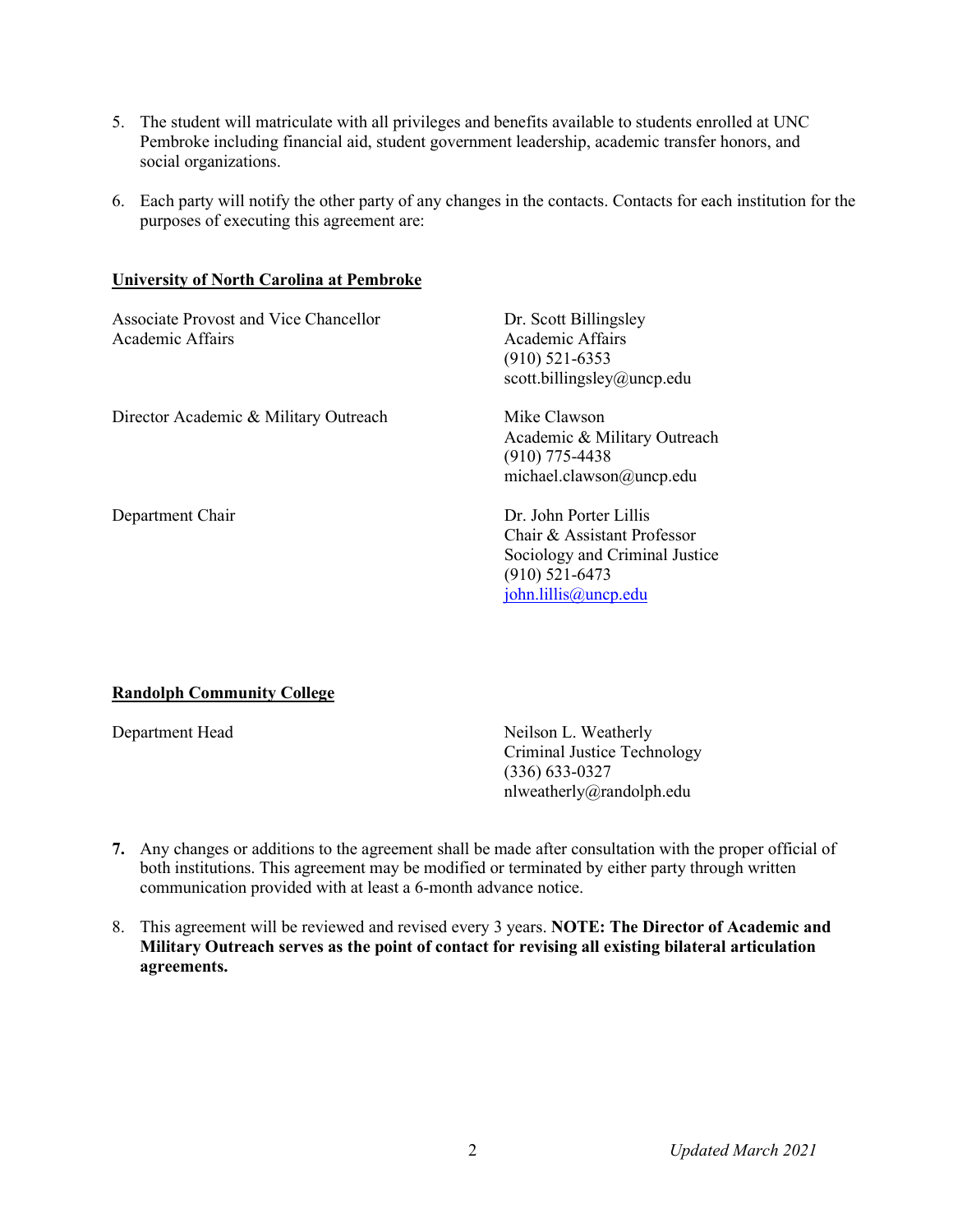- 5. The student will matriculate with all privileges and benefits available to students enrolled at UNC Pembroke including financial aid, student government leadership, academic transfer honors, and social organizations.
- 6. Each party will notify the other party of any changes in the contacts. Contacts for each institution for the purposes of executing this agreement are:

#### **University of North Carolina at Pembroke**

| <b>Associate Provost and Vice Chancellor</b><br>Academic Affairs | Dr. Scott Billingsley<br>Academic Affairs<br>$(910)$ 521-6353<br>scott.billingsley@uncp.edu                                                |
|------------------------------------------------------------------|--------------------------------------------------------------------------------------------------------------------------------------------|
| Director Academic & Military Outreach                            | Mike Clawson<br>Academic & Military Outreach<br>$(910)$ 775-4438<br>michael.clawson@uncp.edu                                               |
| Department Chair                                                 | Dr. John Porter Lillis<br>Chair & Assistant Professor<br>Sociology and Criminal Justice<br>$(910)$ 521-6473<br>$\phi$ john.lillis@uncp.edu |

## **Randolph Community College**

Department Head Neilson L. Weatherly Criminal Justice Technology (336) 633-0327 nlweatherly@randolph.edu

- **7.** Any changes or additions to the agreement shall be made after consultation with the proper official of both institutions. This agreement may be modified or terminated by either party through written communication provided with at least a 6-month advance notice.
- 8. This agreement will be reviewed and revised every 3 years. **NOTE: The Director of Academic and Military Outreach serves as the point of contact for revising all existing bilateral articulation agreements.**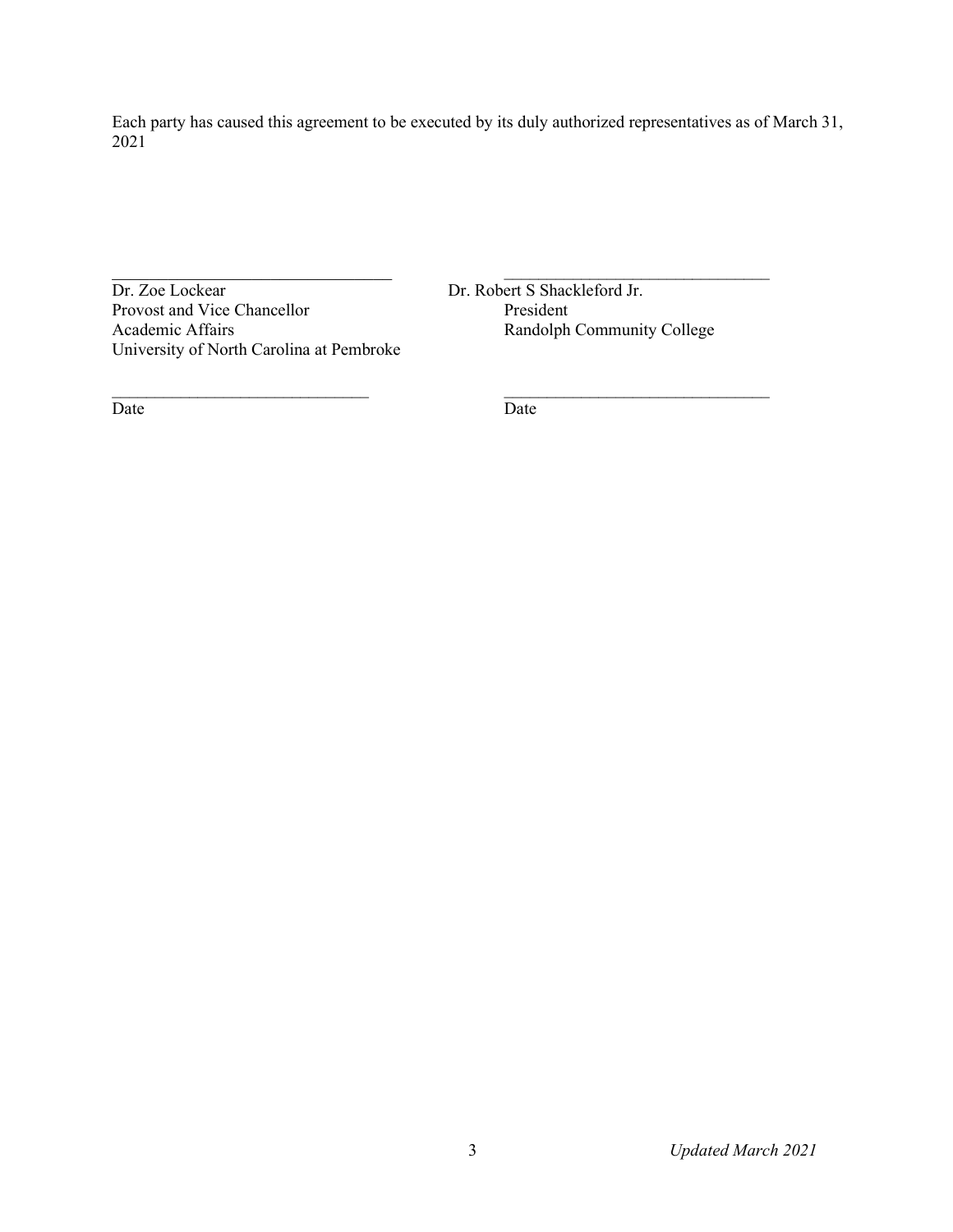Each party has caused this agreement to be executed by its duly authorized representatives as of March 31, 2021

Dr. Zoe Lockear Dr. Robert S Shackleford Jr.<br>
Provost and Vice Chancellor President President Provost and Vice Chancellor<br>Academic Affairs University of North Carolina at Pembroke

 $\frac{1}{2}$  , and the contribution of the contribution of the contribution of the contribution of the contribution of the contribution of the contribution of the contribution of the contribution of the contribution of the c Randolph Community College

Date Date Date

 $\mathcal{L}_\text{max}$  , and the contribution of the contribution of the contribution of the contribution of the contribution of the contribution of the contribution of the contribution of the contribution of the contribution of t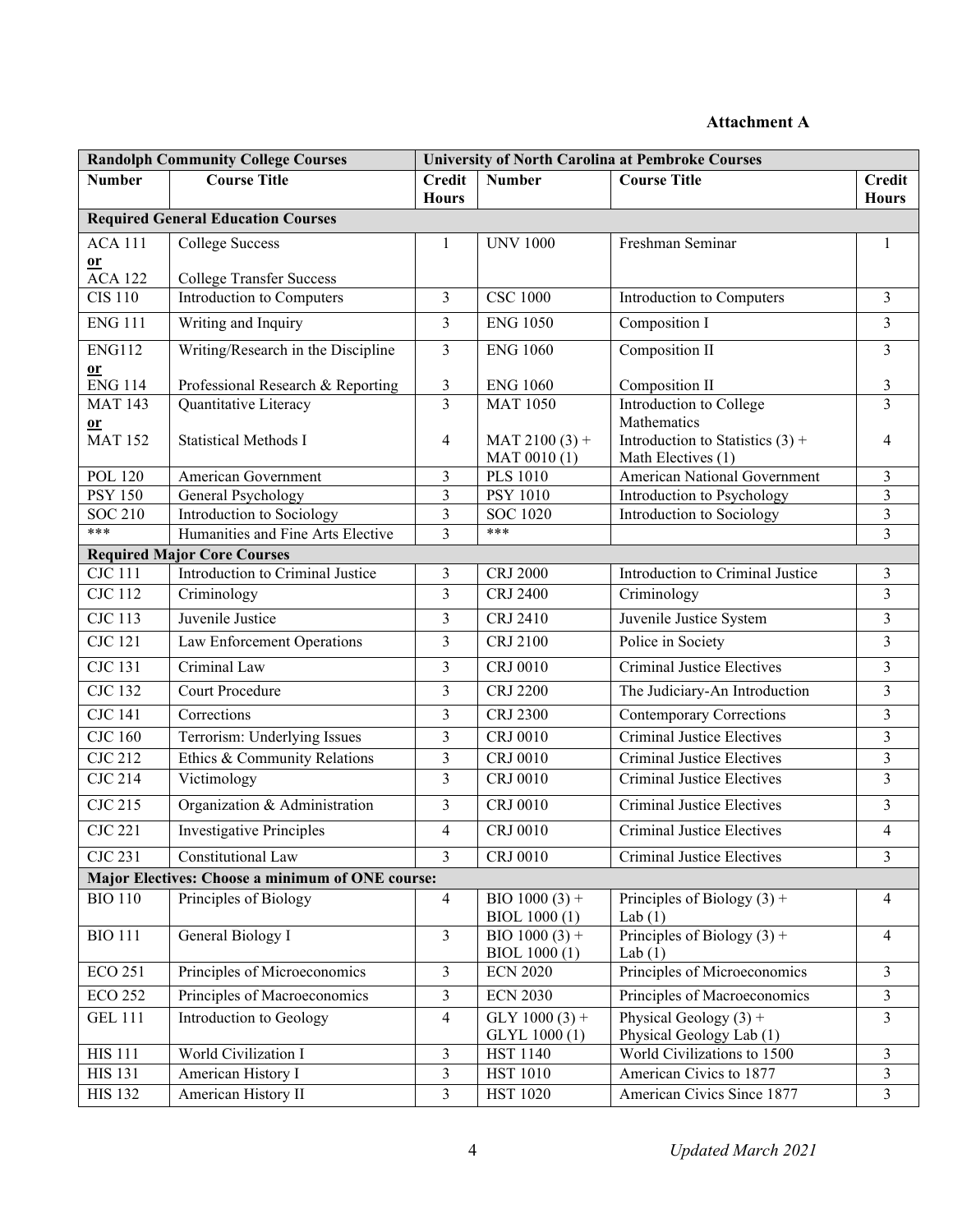# **Attachment A**

| <b>Randolph Community College Courses</b> |                                                            |                               | <b>University of North Carolina at Pembroke Courses</b> |                                           |                                  |  |  |
|-------------------------------------------|------------------------------------------------------------|-------------------------------|---------------------------------------------------------|-------------------------------------------|----------------------------------|--|--|
| <b>Number</b>                             | <b>Course Title</b>                                        | <b>Credit</b><br><b>Hours</b> | <b>Number</b>                                           | <b>Course Title</b>                       | <b>Credit</b><br><b>Hours</b>    |  |  |
| <b>Required General Education Courses</b> |                                                            |                               |                                                         |                                           |                                  |  |  |
| <b>ACA 111</b>                            | <b>College Success</b>                                     | 1                             | <b>UNV 1000</b>                                         | Freshman Seminar                          | 1                                |  |  |
| or                                        |                                                            |                               |                                                         |                                           |                                  |  |  |
| <b>ACA 122</b>                            | <b>College Transfer Success</b>                            |                               |                                                         |                                           |                                  |  |  |
| <b>CIS 110</b>                            | Introduction to Computers                                  | 3                             | <b>CSC 1000</b>                                         | Introduction to Computers                 | $\overline{3}$                   |  |  |
| <b>ENG 111</b>                            | Writing and Inquiry                                        | 3                             | <b>ENG 1050</b>                                         | Composition I                             | $\overline{3}$                   |  |  |
| <b>ENG112</b>                             | Writing/Research in the Discipline                         | $\mathfrak{Z}$                | <b>ENG 1060</b>                                         | Composition II                            | $\overline{3}$                   |  |  |
| 0r                                        |                                                            |                               |                                                         |                                           |                                  |  |  |
| $\overline{ENG}$ 114<br><b>MAT 143</b>    | Professional Research & Reporting<br>Quantitative Literacy | 3<br>$\overline{3}$           | <b>ENG 1060</b><br><b>MAT 1050</b>                      | Composition II<br>Introduction to College | $\mathfrak{Z}$<br>$\overline{3}$ |  |  |
| $or$                                      |                                                            |                               |                                                         | Mathematics                               |                                  |  |  |
| <b>MAT 152</b>                            | <b>Statistical Methods I</b>                               | 4                             | $MAT 2100 (3) +$                                        | Introduction to Statistics $(3)$ +        | 4                                |  |  |
|                                           |                                                            |                               | MAT 0010(1)                                             | Math Electives (1)                        |                                  |  |  |
| <b>POL 120</b>                            | American Government                                        | 3                             | <b>PLS 1010</b>                                         | American National Government              | 3                                |  |  |
| <b>PSY 150</b>                            | General Psychology                                         | 3                             | <b>PSY 1010</b>                                         | Introduction to Psychology                | $\mathfrak{Z}$                   |  |  |
| <b>SOC 210</b>                            | Introduction to Sociology                                  | 3                             | <b>SOC 1020</b>                                         | Introduction to Sociology                 | 3                                |  |  |
| ***                                       | Humanities and Fine Arts Elective                          | $\overline{3}$                | ***                                                     |                                           | 3                                |  |  |
|                                           | <b>Required Major Core Courses</b>                         |                               |                                                         |                                           |                                  |  |  |
| <b>CJC</b> 111                            | Introduction to Criminal Justice                           | 3                             | <b>CRJ 2000</b>                                         | Introduction to Criminal Justice          | 3                                |  |  |
| <b>CJC 112</b>                            | Criminology                                                | $\overline{3}$                | <b>CRJ 2400</b>                                         | Criminology                               | $\overline{3}$                   |  |  |
| $\overline{\text{CJC} 113}$               | Juvenile Justice                                           | 3                             | CRJ 2410                                                | Juvenile Justice System                   | 3                                |  |  |
| $\overline{\text{CJC}}$ 121               | Law Enforcement Operations                                 | $\mathfrak{Z}$                | CRJ 2100                                                | Police in Society                         | $\overline{3}$                   |  |  |
| <b>CJC 131</b>                            | Criminal Law                                               | $\mathfrak{Z}$                | CRJ 0010                                                | <b>Criminal Justice Electives</b>         | $\overline{\mathbf{3}}$          |  |  |
| <b>CJC 132</b>                            | Court Procedure                                            | 3                             | <b>CRJ 2200</b>                                         | The Judiciary-An Introduction             | 3                                |  |  |
| <b>CJC 141</b>                            | Corrections                                                | 3                             | <b>CRJ 2300</b>                                         | <b>Contemporary Corrections</b>           | 3                                |  |  |
| <b>CJC 160</b>                            | Terrorism: Underlying Issues                               | 3                             | CRJ 0010                                                | <b>Criminal Justice Electives</b>         | $\overline{3}$                   |  |  |
| <b>CJC 212</b>                            | Ethics & Community Relations                               | 3                             | <b>CRJ 0010</b>                                         | <b>Criminal Justice Electives</b>         | $\mathfrak{Z}$                   |  |  |
| <b>CJC 214</b>                            | Victimology                                                | 3                             | CRJ 0010                                                | Criminal Justice Electives                | $\overline{\mathbf{3}}$          |  |  |
| <b>CJC 215</b>                            | Organization & Administration                              | 3                             | CRJ 0010                                                | Criminal Justice Electives                | $\overline{3}$                   |  |  |
| <b>CJC 221</b>                            | <b>Investigative Principles</b>                            | 4                             | CRJ 0010                                                | <b>Criminal Justice Electives</b>         | 4                                |  |  |
| <b>CJC 231</b>                            | Constitutional Law                                         | 3                             | CRJ 0010                                                | <b>Criminal Justice Electives</b>         | 3                                |  |  |
|                                           | Major Electives: Choose a minimum of ONE course:           |                               |                                                         |                                           |                                  |  |  |
| <b>BIO 110</b>                            | Principles of Biology                                      | $\overline{4}$                | BIO $1000(3)$ +                                         | Principles of Biology $(3)$ +             | $\overline{4}$                   |  |  |
|                                           |                                                            |                               | <b>BIOL 1000(1)</b>                                     | Lab $(1)$                                 |                                  |  |  |
| <b>BIO 111</b>                            | General Biology I                                          | $\overline{3}$                | BIO $1000(3)$ +                                         | Principles of Biology $(3)$ +             | $\overline{4}$                   |  |  |
|                                           |                                                            |                               | <b>BIOL</b> 1000 (1)                                    | Lab $(1)$                                 |                                  |  |  |
| <b>ECO 251</b>                            | Principles of Microeconomics                               | 3                             | <b>ECN 2020</b>                                         | Principles of Microeconomics              | $\overline{3}$                   |  |  |
| <b>ECO 252</b>                            | Principles of Macroeconomics                               | 3                             | <b>ECN 2030</b>                                         | Principles of Macroeconomics              | $\mathfrak{Z}$                   |  |  |
| <b>GEL 111</b>                            | Introduction to Geology                                    | 4                             | GLY $1000(3)$ +                                         | Physical Geology $(3)$ +                  | $\mathfrak{Z}$                   |  |  |
|                                           |                                                            |                               | GLYL 1000 (1)                                           | Physical Geology Lab (1)                  |                                  |  |  |
| <b>HIS 111</b><br><b>HIS 131</b>          | World Civilization I                                       | 3                             | <b>HST 1140</b>                                         | World Civilizations to 1500               | $\mathfrak{Z}$<br>3              |  |  |
|                                           | American History I                                         | 3                             | <b>HST 1010</b>                                         | American Civics to 1877                   |                                  |  |  |
| <b>HIS 132</b>                            | American History II                                        | 3                             | <b>HST 1020</b>                                         | American Civics Since 1877                | 3                                |  |  |